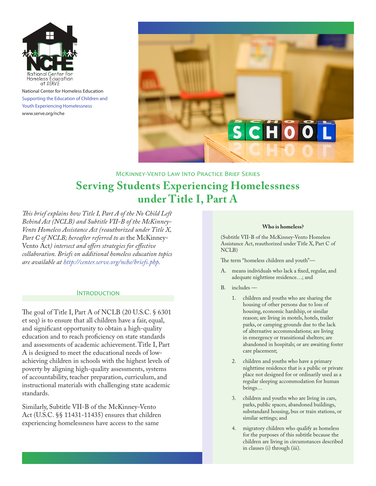

National Center for Homeless Education Supporting the Education of Children and Youth Experiencing Homelessness [www.serve.org/nche](http://www.serve.org/nche)



# McKinney-Vento Law Into Practice Brief Series **Serving Students Experiencing Homelessness under Title I, Part A**

*This brief explains how Title I, Part A of the No Child Left Behind Act (NCLB) and Subtitle VII-B of the McKinney-Vento Homeless Assistance Act (reauthorized under Title X, Part C of NCLB; hereafter referred to as* the McKinney-Vento Act*) intersect and offers strategies for effective collaboration. Briefs on additional homeless education topics are available at<http://center.serve.org/nche/briefs.php>.*

#### **INTRODUCTION**

The goal of Title I, Part A of NCLB (20 U.S.C. § 6301 et seq) is to ensure that all children have a fair, equal, and significant opportunity to obtain a high-quality education and to reach proficiency on state standards and assessments of academic achievement. Title I, Part A is designed to meet the educational needs of lowachieving children in schools with the highest levels of poverty by aligning high-quality assessments, systems of accountability, teacher preparation, curriculum, and instructional materials with challenging state academic standards.

Similarly, Subtitle VII-B of the McKinney-Vento Act (U.S.C. §§ 11431-11435) ensures that children experiencing homelessness have access to the same

#### **Who is homeless?**

(Subtitle VII-B of the McKinney-Vento Homeless Assistance Act, reauthorized under Title X, Part C of NCLB)

The term "homeless children and youth"—

- A. means individuals who lack a fixed, regular, and adequate nighttime residence…; and
- B. includes
	- 1. children and youths who are sharing the housing of other persons due to loss of housing, economic hardship, or similar reason; are living in motels, hotels, trailer parks, or camping grounds due to the lack of alternative accommodations; are living in emergency or transitional shelters; are abandoned in hospitals; or are awaiting foster care placement;
	- 2. children and youths who have a primary nighttime residence that is a public or private place not designed for or ordinarily used as a regular sleeping accommodation for human beings…
	- 3. children and youths who are living in cars, parks, public spaces, abandoned buildings, substandard housing, bus or train stations, or similar settings; and
	- 4. migratory children who qualify as homeless for the purposes of this subtitle because the children are living in circumstances described in clauses (i) through (iii).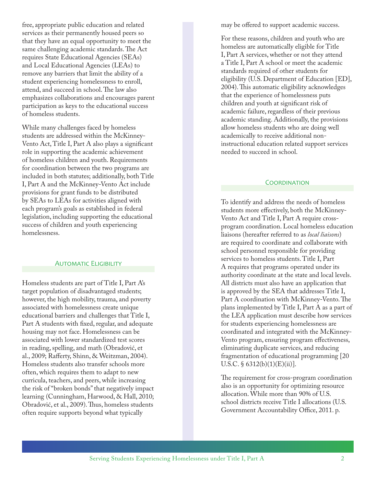free, appropriate public education and related services as their permanently housed peers so that they have an equal opportunity to meet the same challenging academic standards. The Act requires State Educational Agencies (SEAs) and Local Educational Agencies (LEAs) to remove any barriers that limit the ability of a student experiencing homelessness to enroll, attend, and succeed in school. The law also emphasizes collaborations and encourages parent participation as keys to the educational success of homeless students.

While many challenges faced by homeless students are addressed within the McKinney-Vento Act, Title I, Part A also plays a significant role in supporting the academic achievement of homeless children and youth. Requirements for coordination between the two programs are included in both statutes; additionally, both Title I, Part A and the McKinney-Vento Act include provisions for grant funds to be distributed by SEAs to LEAs for activities aligned with each program's goals as established in federal legislation, including supporting the educational success of children and youth experiencing homelessness.

#### **AUTOMATIC ELIGIBILITY**

Homeless students are part of Title I, Part A's target population of disadvantaged students; however, the high mobility, trauma, and poverty associated with homelessness create unique educational barriers and challenges that Title I, Part A students with fixed, regular, and adequate housing may not face. Homelessness can be associated with lower standardized test scores in reading, spelling, and math (Obradović, et al., 2009; Rafferty, Shinn, & Weitzman, 2004). Homeless students also transfer schools more often, which requires them to adapt to new curricula, teachers, and peers, while increasing the risk of "broken bonds" that negatively impact learning (Cunningham, Harwood, & Hall, 2010; Obradović, et al., 2009). Thus, homeless students often require supports beyond what typically

may be offered to support academic success.

For these reasons, children and youth who are homeless are automatically eligible for Title I, Part A services, whether or not they attend a Title I, Part A school or meet the academic standards required of other students for eligibility (U.S. Department of Education [ED], 2004). This automatic eligibility acknowledges that the experience of homelessness puts children and youth at significant risk of academic failure, regardless of their previous academic standing. Additionally, the provisions allow homeless students who are doing well academically to receive additional noninstructional education related support services needed to succeed in school.

#### **COORDINATION**

To identify and address the needs of homeless students more effectively, both the McKinney-Vento Act and Title I, Part A require crossprogram coordination. Local homeless education liaisons (hereafter referred to as *local liaisons*) are required to coordinate and collaborate with school personnel responsible for providing services to homeless students. Title I, Part A requires that programs operated under its authority coordinate at the state and local levels. All districts must also have an application that is approved by the SEA that addresses Title I, Part A coordination with McKinney-Vento. The plans implemented by Title I, Part A as a part of the LEA application must describe how services for students experiencing homelessness are coordinated and integrated with the McKinney-Vento program, ensuring program effectiveness, eliminating duplicate services, and reducing fragmentation of educational programming [20 U.S.C.  $\S$  6312(b)(1)(E)(ii)].

The requirement for cross-program coordination also is an opportunity for optimizing resource allocation. While more than 90% of U.S. school districts receive Title I allocations (U.S. Government Accountability Office, 2011. p.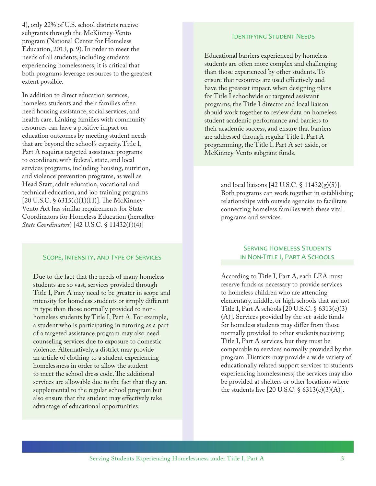4), only 22% of U.S. school districts receive subgrants through the McKinney-Vento program (National Center for Homeless Education, 2013, p. 9). In order to meet the needs of all students, including students experiencing homelessness, it is critical that both programs leverage resources to the greatest extent possible.

In addition to direct education services, homeless students and their families often need housing assistance, social services, and health care. Linking families with community resources can have a positive impact on education outcomes by meeting student needs that are beyond the school's capacity. Title I, Part A requires targeted assistance programs to coordinate with federal, state, and local services programs, including housing, nutrition, and violence prevention programs, as well as Head Start, adult education, vocational and technical education, and job training programs [20 U.S.C. § 6315(c)(1)(H)]. The McKinney-Vento Act has similar requirements for State Coordinators for Homeless Education (hereafter *State Coordinators*) [42 U.S.C. § 11432(f )(4)]

#### Scope, Intensity, and Type of Services

Due to the fact that the needs of many homeless students are so vast, services provided through Title I, Part A may need to be greater in scope and intensity for homeless students or simply different in type than those normally provided to nonhomeless students by Title I, Part A. For example, a student who is participating in tutoring as a part of a targeted assistance program may also need counseling services due to exposure to domestic violence. Alternatively, a district may provide an article of clothing to a student experiencing homelessness in order to allow the student to meet the school dress code. The additional services are allowable due to the fact that they are supplemental to the regular school program but also ensure that the student may effectively take advantage of educational opportunities.

#### Identifying Student Needs

Educational barriers experienced by homeless students are often more complex and challenging than those experienced by other students. To ensure that resources are used effectively and have the greatest impact, when designing plans for Title I schoolwide or targeted assistant programs, the Title I director and local liaison should work together to review data on homeless student academic performance and barriers to their academic success, and ensure that barriers are addressed through regular Title I, Part A programming, the Title I, Part A set-aside, or McKinney-Vento subgrant funds.

> and local liaisons [42 U.S.C. § 11432(g)(5)]. Both programs can work together in establishing relationships with outside agencies to facilitate connecting homeless families with these vital programs and services.

## **SERVING HOMELESS STUDENTS** in Non-Title I, Part A Schools

According to Title I, Part A, each LEA must reserve funds as necessary to provide services to homeless children who are attending elementary, middle, or high schools that are not Title I, Part A schools [20 U.S.C. § 6313(c)(3) (A)]. Services provided by the set-aside funds for homeless students may differ from those normally provided to other students receiving Title I, Part A services, but they must be comparable to services normally provided by the program. Districts may provide a wide variety of educationally related support services to students experiencing homelessness; the services may also be provided at shelters or other locations where the students live [20 U.S.C.  $\S$  6313(c)(3)(A)].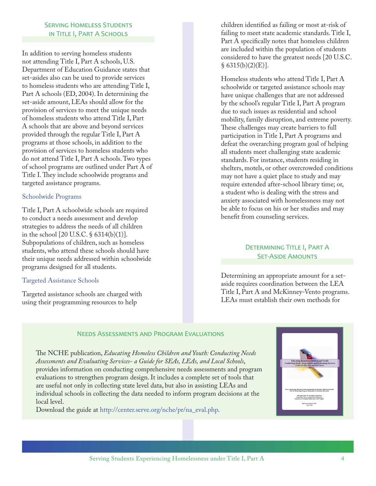## **SERVING HOMELESS STUDENTS** in Title I, Part A Schools

In addition to serving homeless students not attending Title I, Part A schools, U.S. Department of Education Guidance states that set-asides also can be used to provide services to homeless students who are attending Title I, Part A schools (ED, 2004). In determining the set-aside amount, LEAs should allow for the provision of services to meet the unique needs of homeless students who attend Title I, Part A schools that are above and beyond services provided through the regular Title I, Part A programs at those schools, in addition to the provision of services to homeless students who do not attend Title I, Part A schools. Two types of school programs are outlined under Part A of Title I. They include schoolwide programs and targeted assistance programs.

### Schoolwide Programs

Title I, Part A schoolwide schools are required to conduct a needs assessment and develop strategies to address the needs of all children in the school [20 U.S.C. § 6314(b)(1)]. Subpopulations of children, such as homeless students, who attend these schools should have their unique needs addressed within schoolwide programs designed for all students.

## Targeted Assistance Schools

Targeted assistance schools are charged with using their programming resources to help

children identified as failing or most at-risk of failing to meet state academic standards. Title I, Part A specifically notes that homeless children are included within the population of students considered to have the greatest needs [20 U.S.C.  $§ 6315(b)(2)(E)].$ 

Homeless students who attend Title I, Part A schoolwide or targeted assistance schools may have unique challenges that are not addressed by the school's regular Title I, Part A program due to such issues as residential and school mobility, family disruption, and extreme poverty. These challenges may create barriers to full participation in Title I, Part A programs and defeat the overarching program goal of helping all students meet challenging state academic standards. For instance, students residing in shelters, motels, or other overcrowded conditions may not have a quiet place to study and may require extended after-school library time; or, a student who is dealing with the stress and anxiety associated with homelessness may not be able to focus on his or her studies and may benefit from counseling services.

## DETERMINING TITLE I, PART A **SET-ASIDE AMOUNTS**

Determining an appropriate amount for a setaside requires coordination between the LEA Title I, Part A and McKinney-Vento programs. LEAs must establish their own methods for

#### Needs Assessments and Program Evaluations

The NCHE publication, *Educating Homeless Children and Youth: Conducting Needs Assessments and Evaluating Services- a Guide for SEAs, LEAs, and Local Schools*, provides information on conducting comprehensive needs assessments and program evaluations to strengthen program design. It includes a complete set of tools that are useful not only in collecting state level data, but also in assisting LEAs and individual schools in collecting the data needed to inform program decisions at the local level.

Download the guide at [http://center.serve.org/nche/pr/na\\_eval.php](http://center.serve.org/nche/pr/na_eval.php).

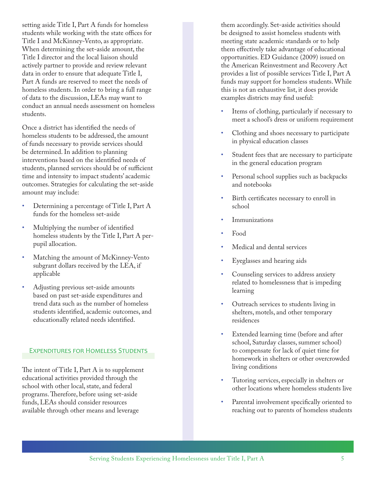setting aside Title I, Part A funds for homeless students while working with the state offices for Title I and McKinney-Vento, as appropriate. When determining the set-aside amount, the Title I director and the local liaison should actively partner to provide and review relevant data in order to ensure that adequate Title I, Part A funds are reserved to meet the needs of homeless students. In order to bring a full range of data to the discussion, LEAs may want to conduct an annual needs assessment on homeless students.

Once a district has identified the needs of homeless students to be addressed, the amount of funds necessary to provide services should be determined. In addition to planning interventions based on the identified needs of students, planned services should be of sufficient time and intensity to impact students' academic outcomes. Strategies for calculating the set-aside amount may include:

- Determining a percentage of Title I, Part A funds for the homeless set-aside
- Multiplying the number of identified homeless students by the Title I, Part A perpupil allocation.
- Matching the amount of McKinney-Vento subgrant dollars received by the LEA, if applicable
- Adjusting previous set-aside amounts based on past set-aside expenditures and trend data such as the number of homeless students identified, academic outcomes, and educationally related needs identified.

## Expenditures for Homeless Students

The intent of Title I, Part A is to supplement educational activities provided through the school with other local, state, and federal programs. Therefore, before using set-aside funds, LEAs should consider resources available through other means and leverage

them accordingly. Set-aside activities should be designed to assist homeless students with meeting state academic standards or to help them effectively take advantage of educational opportunities. ED Guidance (2009) issued on the American Reinvestment and Recovery Act provides a list of possible services Title I, Part A funds may support for homeless students. While this is not an exhaustive list, it does provide examples districts may find useful:

- Items of clothing, particularly if necessary to meet a school's dress or uniform requirement
- Clothing and shoes necessary to participate in physical education classes
- Student fees that are necessary to participate in the general education program
- Personal school supplies such as backpacks and notebooks
- Birth certificates necessary to enroll in school
- **Immunizations**
- Food
- Medical and dental services
- Eyeglasses and hearing aids
- Counseling services to address anxiety related to homelessness that is impeding learning
- Outreach services to students living in shelters, motels, and other temporary residences
- Extended learning time (before and after school, Saturday classes, summer school) to compensate for lack of quiet time for homework in shelters or other overcrowded living conditions
- Tutoring services, especially in shelters or other locations where homeless students live
- Parental involvement specifically oriented to reaching out to parents of homeless students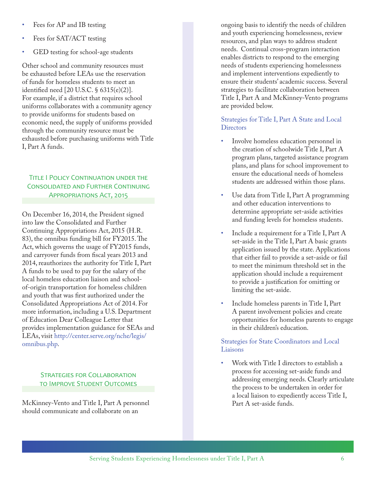- Fees for AP and IB testing
- Fees for SAT/ACT testing
- GED testing for school-age students

Other school and community resources must be exhausted before LEAs use the reservation of funds for homeless students to meet an identified need [20 U.S.C. § 6315(e)(2)]. For example, if a district that requires school uniforms collaborates with a community agency to provide uniforms for students based on economic need, the supply of uniforms provided through the community resource must be exhausted before purchasing uniforms with Title I, Part A funds.

## Title I Policy Continuation under the Consolidated and Further Continuing Appropriations Act, 2015

On December 16, 2014, the President signed into law the Consolidated and Further Continuing Appropriations Act, 2015 (H.R. 83), the omnibus funding bill for FY2015. The Act, which governs the usage of FY2015 funds, and carryover funds from fiscal years 2013 and 2014, reauthorizes the authority for Title I, Part A funds to be used to pay for the salary of the local homeless education liaison and schoolof-origin transportation for homeless children and youth that was first authorized under the Consolidated Appropriations Act of 2014. For more information, including a U.S. Department of Education Dear Colleague Letter that provides implementation guidance for SEAs and LEAs, visit [http://center.serve.org/nche/legis/](http://center.serve.org/nche/legis/omnibus.php) [omnibus.php.](http://center.serve.org/nche/legis/omnibus.php)

## **STRATEGIES FOR COLLABORATION** to Improve Student Outcomes

McKinney-Vento and Title I, Part A personnel should communicate and collaborate on an

ongoing basis to identify the needs of children and youth experiencing homelessness, review resources, and plan ways to address student needs. Continual cross-program interaction enables districts to respond to the emerging needs of students experiencing homelessness and implement interventions expediently to ensure their students' academic success. Several strategies to facilitate collaboration between Title I, Part A and McKinney-Vento programs are provided below.

Strategies for Title I, Part A State and Local **Directors** 

- Involve homeless education personnel in the creation of schoolwide Title I, Part A program plans, targeted assistance program plans, and plans for school improvement to ensure the educational needs of homeless students are addressed within those plans.
- Use data from Title I, Part A programming and other education interventions to determine appropriate set-aside activities and funding levels for homeless students.
- Include a requirement for a Title I, Part A set-aside in the Title I, Part A basic grants application issued by the state. Applications that either fail to provide a set-aside or fail to meet the minimum threshold set in the application should include a requirement to provide a justification for omitting or limiting the set-aside.
- Include homeless parents in Title I, Part A parent involvement policies and create opportunities for homeless parents to engage in their children's education.

#### Strategies for State Coordinators and Local Liaisons

Work with Title I directors to establish a process for accessing set-aside funds and addressing emerging needs. Clearly articulate the process to be undertaken in order for a local liaison to expediently access Title I, Part A set-aside funds.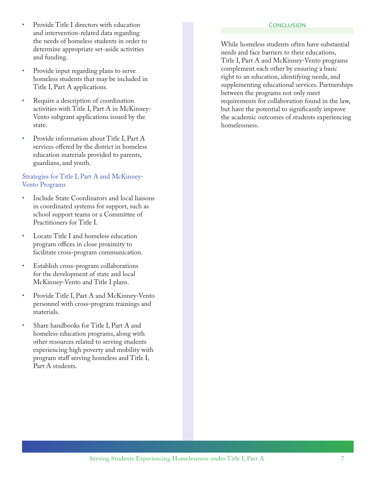- Provide Title I directors with education and intervention-related data regarding the needs of homeless students in order to determine appropriate set-aside activities and funding.
- Provide input regarding plans to serve homeless students that may be included in Title I, Part A applications.
- Require a description of coordination activities with Title I, Part A in McKinney-Vento subgrant applications issued by the state.
- Provide information about Title I, Part A services offered by the district in homeless education materials provided to parents, guardians, and youth.

## Strategies for Title I, Part A and McKinney-Vento Programs

- Include State Coordinators and local liaisons in coordinated systems for support, such as school support teams or a Committee of Practitioners for Title I.
- Locate Title I and homeless education program offices in close proximity to facilitate cross-program communication.
- Establish cross-program collaborations for the development of state and local McKinney-Vento and Title I plans.
- Provide Title I, Part A and McKinney-Vento personnel with cross-program trainings and materials.
- Share handbooks for Title I, Part A and homeless education programs, along with other resources related to serving students experiencing high poverty and mobility with program staff serving homeless and Title I, Part A students.

#### **CONCLUSION**

While homeless students often have substantial needs and face barriers to their educations, Title I, Part A and McKinney-Vento programs complement each other by ensuring a basic right to an education, identifying needs, and supplementing educational services. Partnerships between the programs not only meet requirements for collaboration found in the law, but have the potential to significantly improve the academic outcomes of students experiencing homelessness.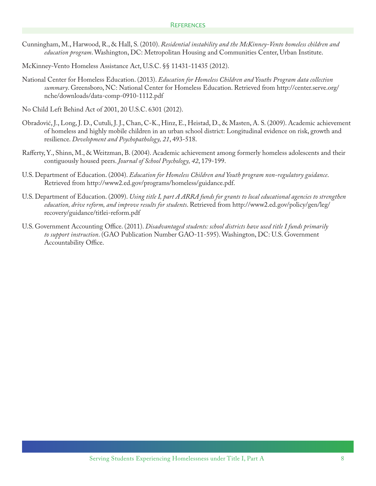- Cunningham, M., Harwood, R., & Hall, S. (2010). *Residential instability and the McKinney-Vento homeless children and education program*. Washington, DC: Metropolitan Housing and Communities Center, Urban Institute.
- McKinney-Vento Homeless Assistance Act, U.S.C. §§ 11431-11435 (2012).
- National Center for Homeless Education. (2013). *Education for Homeless Children and Youths Program data collection summary*. Greensboro, NC: National Center for Homeless Education. Retrieved from [http://center.serve.org/](http://center.serve.org/nche/downloads/data-comp-0910-1112.pdf) [nche/downloads/data-comp-0910-1112.pdf](http://center.serve.org/nche/downloads/data-comp-0910-1112.pdf)
- No Child Left Behind Act of 2001, 20 U.S.C. 6301 (2012).
- Obradović, J., Long, J. D., Cutuli, J. J., Chan, C-K., Hinz, E., Heistad, D., & Masten, A. S. (2009). Academic achievement of homeless and highly mobile children in an urban school district: Longitudinal evidence on risk, growth and resilience. *Development and Psychopathology, 21*, 493-518.
- Rafferty, Y., Shinn, M., & Weitzman, B. (2004). Academic achievement among formerly homeless adolescents and their contiguously housed peers. *Journal of School Psychology, 42*, 179-199.
- U.S. Department of Education. (2004). *Education for Homeless Children and Youth program non-regulatory guidance*. Retrieved from<http://www2.ed.gov/programs/homeless/guidance.pdf>.
- U.S. Department of Education. (2009). *Using title I, part A ARRA funds for grants to local educational agencies to strengthen education, drive reform, and improve results for students*. Retrieved from [http://www2.ed.gov/policy/gen/leg/](http://www2.ed.gov/policy/gen/leg/recovery/guidance/titlei-reform.pdf) [recovery/guidance/titlei-reform.pdf](http://www2.ed.gov/policy/gen/leg/recovery/guidance/titlei-reform.pdf)
- U.S. Government Accounting Office. (2011). *Disadvantaged students: school districts have used title I funds primarily to support instruction*. (GAO Publication Number GAO-11-595). Washington, DC: U.S. Government Accountability Office.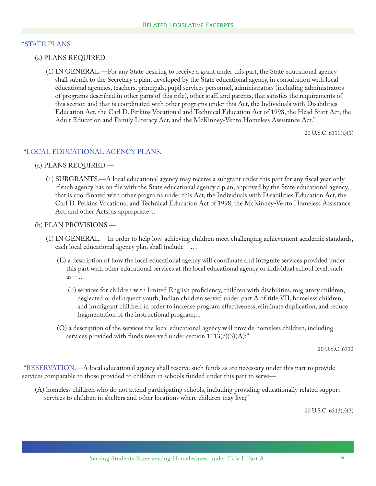### "STATE PLANS.

- (a) PLANS REQUIRED.—
	- (1) IN GENERAL.—For any State desiring to receive a grant under this part, the State educational agency shall submit to the Secretary a plan, developed by the State educational agency, in consultation with local educational agencies, teachers, principals, pupil services personnel, administrators (including administrators of programs described in other parts of this title), other staff, and parents, that satisfies the requirements of this section and that is coordinated with other programs under this Act, the Individuals with Disabilities Education Act, the Carl D. Perkins Vocational and Technical Education Act of 1998, the Head Start Act, the Adult Education and Family Literacy Act, and the McKinney-Vento Homeless Assistance Act."

20 U.S.C. 6311(a)(1)

### "LOCAL EDUCATIONAL AGENCY PLANS.

#### (a) PLANS REQUIRED.—

 (1) SUBGRANTS.—A local educational agency may receive a subgrant under this part for any fiscal year only if such agency has on file with the State educational agency a plan, approved by the State educational agency, that is coordinated with other programs under this Act, the Individuals with Disabilities Education Act, the Carl D. Perkins Vocational and Technical Education Act of 1998, the McKinney-Vento Homeless Assistance Act, and other Acts, as appropriate…

#### (b) PLAN PROVISIONS.—

- (1) IN GENERAL.—In order to help low-achieving children meet challenging achievement academic standards, each local educational agency plan shall include—…
	- (E) a description of how the local educational agency will coordinate and integrate services provided under this part with other educational services at the local educational agency or individual school level, such as—…
		- (ii) services for children with limited English proficiency, children with disabilities, migratory children, neglected or delinquent youth, Indian children served under part A of title VII, homeless children, and immigrant children in order to increase program effectiveness, eliminate duplication, and reduce fragmentation of the instructional program;...
	- (O) a description of the services the local educational agency will provide homeless children, including services provided with funds reserved under section  $1113(c)(3)(A);$ "

20 U.S.C. 6312

 "RESERVATION.—A local educational agency shall reserve such funds as are necessary under this part to provide services comparable to those provided to children in schools funded under this part to serve—

 (A) homeless children who do not attend participating schools, including providing educationally related support services to children in shelters and other locations where children may live;"

20 U.S.C. 6313(c)(3)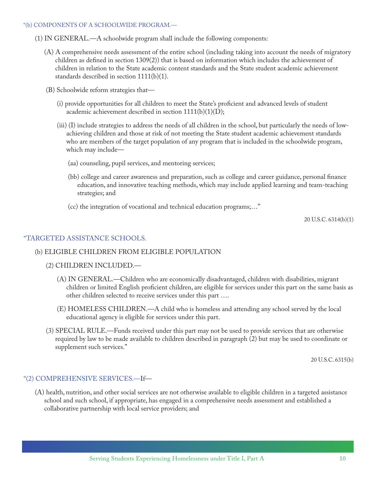#### "(b) COMPONENTS OF A SCHOOLWIDE PROGRAM.—

- (1) IN GENERAL.—A schoolwide program shall include the following components:
	- (A) A comprehensive needs assessment of the entire school (including taking into account the needs of migratory children as defined in section 1309(2)) that is based on information which includes the achievement of children in relation to the State academic content standards and the State student academic achievement standards described in section 1111(b)(1).
	- (B) Schoolwide reform strategies that—
		- (i) provide opportunities for all children to meet the State's proficient and advanced levels of student academic achievement described in section  $1111(b)(1)(D);$
		- (iii) (I) include strategies to address the needs of all children in the school, but particularly the needs of lowachieving children and those at risk of not meeting the State student academic achievement standards who are members of the target population of any program that is included in the schoolwide program, which may include—
			- (aa) counseling, pupil services, and mentoring services;
			- (bb) college and career awareness and preparation, such as college and career guidance, personal finance education, and innovative teaching methods, which may include applied learning and team-teaching strategies; and
			- (cc) the integration of vocational and technical education programs;…"

20 U.S.C. 6314(b)(1)

## "TARGETED ASSISTANCE SCHOOLS.

## (b) ELIGIBLE CHILDREN FROM ELIGIBLE POPULATION

#### (2) CHILDREN INCLUDED.—

- (A) IN GENERAL.—Children who are economically disadvantaged, children with disabilities, migrant children or limited English proficient children, are eligible for services under this part on the same basis as other children selected to receive services under this part ….
- (E) HOMELESS CHILDREN.—A child who is homeless and attending any school served by the local educational agency is eligible for services under this part.
- (3) SPECIAL RULE.—Funds received under this part may not be used to provide services that are otherwise required by law to be made available to children described in paragraph (2) but may be used to coordinate or supplement such services."

20 U.S.C. 6315(b)

#### "(2) COMPREHENSIVE SERVICES.—If—

 (A) health, nutrition, and other social services are not otherwise available to eligible children in a targeted assistance school and such school, if appropriate, has engaged in a comprehensive needs assessment and established a collaborative partnership with local service providers; and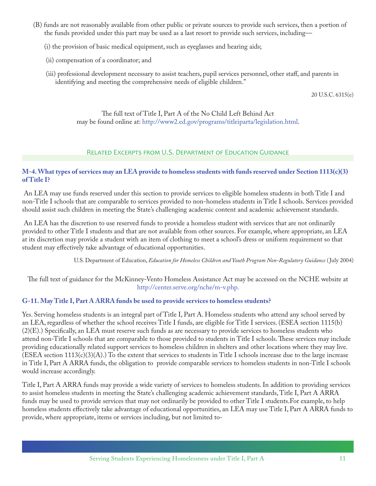- (B) funds are not reasonably available from other public or private sources to provide such services, then a portion of the funds provided under this part may be used as a last resort to provide such services, including—
	- (i) the provision of basic medical equipment, such as eyeglasses and hearing aids;
	- (ii) compensation of a coordinator; and
	- (iii) professional development necessary to assist teachers, pupil services personnel, other staff, and parents in identifying and meeting the comprehensive needs of eligible children."

20 U.S.C. 6315(e)

The full text of Title I, Part A of the No Child Left Behind Act may be found online at: <http://www2.ed.gov/programs/titleiparta/legislation.html>.

## Related Excerpts from U.S. Department of Education Guidance

## **M-4. What types of services may an LEA provide to homeless students with funds reserved under Section 1113(c)(3) of Title I?**

 An LEA may use funds reserved under this section to provide services to eligible homeless students in both Title I and non-Title I schools that are comparable to services provided to non-homeless students in Title I schools. Services provided should assist such children in meeting the State's challenging academic content and academic achievement standards.

 An LEA has the discretion to use reserved funds to provide a homeless student with services that are not ordinarily provided to other Title I students and that are not available from other sources. For example, where appropriate, an LEA at its discretion may provide a student with an item of clothing to meet a school's dress or uniform requirement so that student may effectively take advantage of educational opportunities.

U.S. Department of Education, *Education for Homeless Children and Youth Program Non-Regulatory Guidance* ( July 2004)

The full text of guidance for the McKinney-Vento Homeless Assistance Act may be accessed on the NCHE website at <http://center.serve.org/nche/m-v.php.>

## **G-11. May Title I, Part A ARRA funds be used to provide services to homeless students?**

Yes. Serving homeless students is an integral part of Title I, Part A. Homeless students who attend any school served by an LEA, regardless of whether the school receives Title I funds, are eligible for Title I services. (ESEA section 1115(b) (2)(E).) Specifically, an LEA must reserve such funds as are necessary to provide services to homeless students who attend non-Title I schools that are comparable to those provided to students in Title I schools. These services may include providing educationally related support services to homeless children in shelters and other locations where they may live.  $(ESEA section 1113(c)(3)(A))$  To the extent that services to students in Title I schools increase due to the large increase in Title I, Part A ARRA funds, the obligation to provide comparable services to homeless students in non-Title I schools would increase accordingly.

Title I, Part A ARRA funds may provide a wide variety of services to homeless students. In addition to providing services to assist homeless students in meeting the State's challenging academic achievement standards, Title I, Part A ARRA funds may be used to provide services that may not ordinarily be provided to other Title I students.For example, to help homeless students effectively take advantage of educational opportunities, an LEA may use Title I, Part A ARRA funds to provide, where appropriate, items or services including, but not limited to-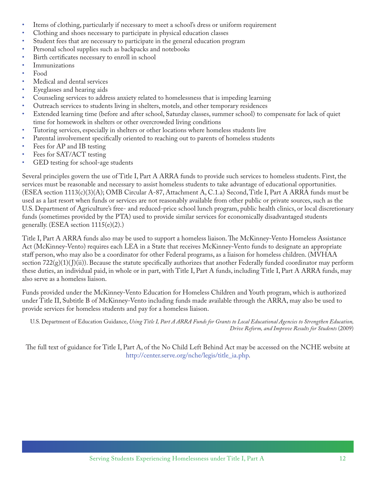- Items of clothing, particularly if necessary to meet a school's dress or uniform requirement
- Clothing and shoes necessary to participate in physical education classes
- Student fees that are necessary to participate in the general education program
- Personal school supplies such as backpacks and notebooks
- Birth certificates necessary to enroll in school
- **Immunizations**
- Food
- Medical and dental services
- Eyeglasses and hearing aids
- Counseling services to address anxiety related to homelessness that is impeding learning
- Outreach services to students living in shelters, motels, and other temporary residences
- Extended learning time (before and after school, Saturday classes, summer school) to compensate for lack of quiet time for homework in shelters or other overcrowded living conditions
- Tutoring services, especially in shelters or other locations where homeless students live
- Parental involvement specifically oriented to reaching out to parents of homeless students
- Fees for AP and IB testing
- Fees for SAT/ACT testing
- GED testing for school-age students

Several principles govern the use of Title I, Part A ARRA funds to provide such services to homeless students. First, the services must be reasonable and necessary to assist homeless students to take advantage of educational opportunities. (ESEA section 1113(c)(3)(A); OMB Circular A-87, Attachment A, C.1.a) Second, Title I, Part A ARRA funds must be used as a last resort when funds or services are not reasonably available from other public or private sources, such as the U.S. Department of Agriculture's free- and reduced-price school lunch program, public health clinics, or local discretionary funds (sometimes provided by the PTA) used to provide similar services for economically disadvantaged students generally. (ESEA section  $1115(e)(2)$ .)

Title I, Part A ARRA funds also may be used to support a homeless liaison. The McKinney-Vento Homeless Assistance Act (McKinney-Vento) requires each LEA in a State that receives McKinney-Vento funds to designate an appropriate staff person, who may also be a coordinator for other Federal programs, as a liaison for homeless children. (MVHAA section  $722(g)(1)(J)(ii)$ ). Because the statute specifically authorizes that another Federally funded coordinator may perform these duties, an individual paid, in whole or in part, with Title I, Part A funds, including Title I, Part A ARRA funds, may also serve as a homeless liaison.

Funds provided under the McKinney-Vento Education for Homeless Children and Youth program, which is authorized under Title II, Subtitle B of McKinney-Vento including funds made available through the ARRA, may also be used to provide services for homeless students and pay for a homeless liaison.

U.S. Department of Education Guidance, *Using Title I, Part A ARRA Funds for Grants to Local Educational Agencies to Strengthen Education, Drive Reform, and Improve Results for Students* (2009)

The full text of guidance for Title I, Part A, of the No Child Left Behind Act may be accessed on the NCHE website at [http://center.serve.org/nche/legis/title\\_ia.php](http://center.serve.org/nche/legis/title_ia.php).